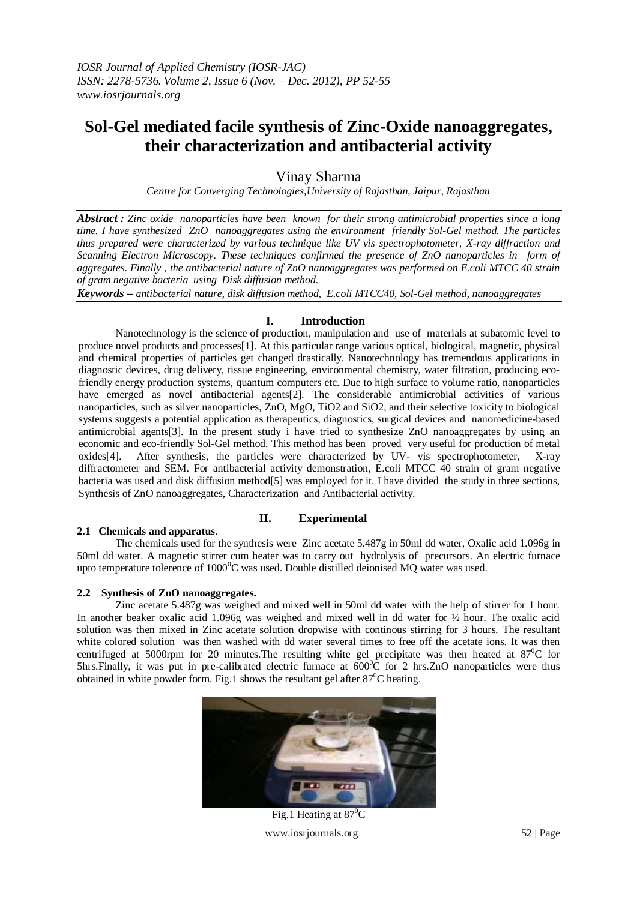# **Sol-Gel mediated facile synthesis of Zinc-Oxide nanoaggregates, their characterization and antibacterial activity**

Vinay Sharma

*Centre for Converging Technologies,University of Rajasthan, Jaipur, Rajasthan*

*Abstract : Zinc oxide nanoparticles have been known for their strong antimicrobial properties since a long time. I have synthesized ZnO nanoaggregates using the environment friendly Sol-Gel method. The particles thus prepared were characterized by various technique like UV vis spectrophotometer, X-ray diffraction and Scanning Electron Microscopy. These techniques confirmed the presence of ZnO nanoparticles in form of aggregates. Finally , the antibacterial nature of ZnO nanoaggregates was performed on E.coli MTCC 40 strain of gram negative bacteria using Disk diffusion method.*

*Keywords – antibacterial nature, disk diffusion method, E.coli MTCC40, Sol-Gel method, nanoaggregates*

### **I. Introduction**

Nanotechnology is the science of production, manipulation and use of materials at subatomic level to produce novel products and processes[1]. At this particular range various optical, biological, magnetic, physical and chemical properties of particles get changed drastically. Nanotechnology has tremendous applications in diagnostic devices, drug delivery, tissue engineering, environmental chemistry, water filtration, producing ecofriendly energy production systems, quantum computers etc. Due to high surface to volume ratio, nanoparticles have emerged as novel antibacterial agents<sup>[2]</sup>. The considerable antimicrobial activities of various nanoparticles, such as silver nanoparticles,  $\overline{Z}$ <sub>n</sub>O, MgO, TiO<sub>2</sub> and SiO<sub>2</sub>, and their selective toxicity to biological systems suggests a potential application as therapeutics, diagnostics, surgical devices and nanomedicine-based antimicrobial agents[3]. In the present study i have tried to synthesize ZnO nanoaggregates by using an economic and eco-friendly Sol-Gel method. This method has been proved very useful for production of metal oxides[4]. After synthesis, the particles were characterized by UV- vis spectrophotometer, X-ray diffractometer and SEM. For antibacterial activity demonstration, E.coli MTCC 40 strain of gram negative bacteria was used and disk diffusion method[5] was employed for it. I have divided the study in three sections, Synthesis of ZnO nanoaggregates, Characterization and Antibacterial activity.

### **II. Experimental**

### **2.1 Chemicals and apparatus**.

The chemicals used for the synthesis were Zinc acetate 5.487g in 50ml dd water, Oxalic acid 1.096g in 50ml dd water. A magnetic stirrer cum heater was to carry out hydrolysis of precursors. An electric furnace upto temperature tolerence of  $1000^{\circ}$ C was used. Double distilled deionised MO water was used.

#### **2.2 Synthesis of ZnO nanoaggregates.**

Zinc acetate 5.487g was weighed and mixed well in 50ml dd water with the help of stirrer for 1 hour. In another beaker oxalic acid 1.096g was weighed and mixed well in dd water for ½ hour. The oxalic acid solution was then mixed in Zinc acetate solution dropwise with continous stirring for 3 hours. The resultant white colored solution was then washed with dd water several times to free off the acetate ions. It was then centrifuged at 5000rpm for 20 minutes. The resulting white gel precipitate was then heated at  $87^{\circ}$ C for  $5$ hrs.Finally, it was put in pre-calibrated electric furnace at  $600^{\circ}$ C for 2 hrs.ZnO nanoparticles were thus obtained in white powder form. Fig.1 shows the resultant gel after  $87^{\circ}$ C heating.



Fig.1 Heating at  $87^{\circ}$ C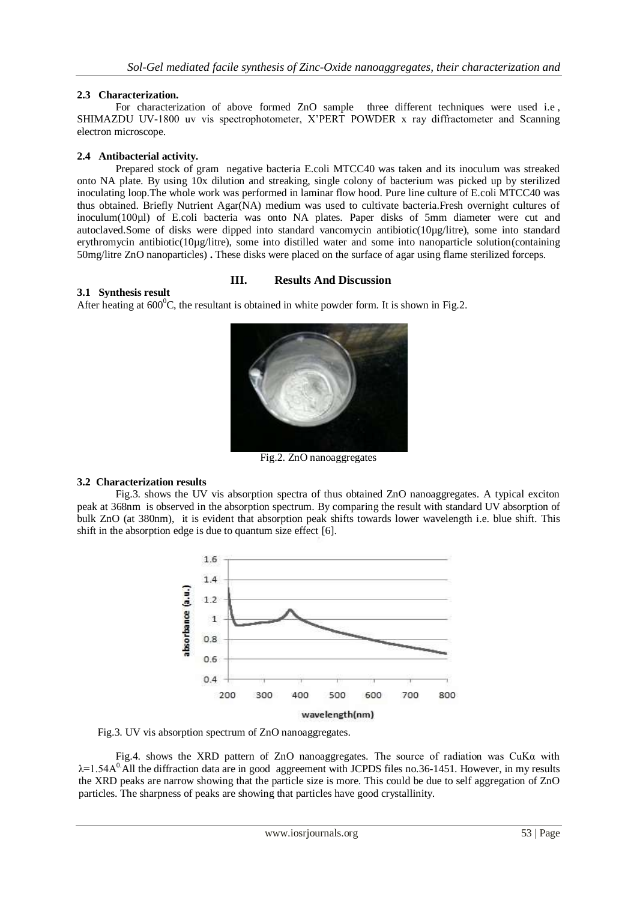## **2.3 Characterization.**

For characterization of above formed ZnO sample three different techniques were used i.e , SHIMAZDU UV-1800 uv vis spectrophotometer, X'PERT POWDER x ray diffractometer and Scanning electron microscope.

#### **2.4 Antibacterial activity.**

Prepared stock of gram negative bacteria E.coli MTCC40 was taken and its inoculum was streaked onto NA plate. By using 10x dilution and streaking, single colony of bacterium was picked up by sterilized inoculating loop.The whole work was performed in laminar flow hood. Pure line culture of E.coli MTCC40 was thus obtained. Briefly Nutrient Agar(NA) medium was used to cultivate bacteria.Fresh overnight cultures of inoculum(100µl) of E.coli bacteria was onto NA plates. Paper disks of 5mm diameter were cut and autoclaved.Some of disks were dipped into standard vancomycin antibiotic(10µg/litre), some into standard erythromycin antibiotic(10µg/litre), some into distilled water and some into nanoparticle solution(containing 50mg/litre ZnO nanoparticles) **.** These disks were placed on the surface of agar using flame sterilized forceps.

### **III. Results And Discussion**

**3.1 Synthesis result** After heating at  $600^{\circ}$ C, the resultant is obtained in white powder form. It is shown in Fig.2.



Fig.2. ZnO nanoaggregates

### **3.2 Characterization results**

Fig.3. shows the UV vis absorption spectra of thus obtained ZnO nanoaggregates. A typical exciton peak at 368nm is observed in the absorption spectrum. By comparing the result with standard UV absorption of bulk ZnO (at 380nm), it is evident that absorption peak shifts towards lower wavelength i.e. blue shift. This shift in the absorption edge is due to quantum size effect [6].



Fig.3. UV vis absorption spectrum of ZnO nanoaggregates.

 Fig.4. shows the XRD pattern of ZnO nanoaggregates. The source of radiation was CuKα with  $\lambda$ =1.54A<sup>0</sup>.All the diffraction data are in good aggreement with JCPDS files no.36-1451. However, in my results the XRD peaks are narrow showing that the particle size is more. This could be due to self aggregation of ZnO particles. The sharpness of peaks are showing that particles have good crystallinity.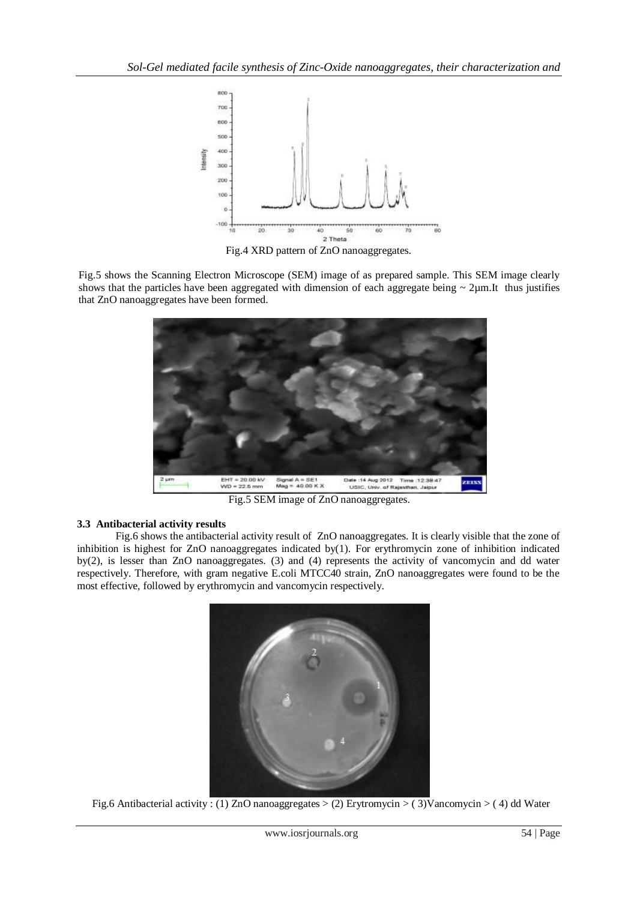

Fig.4 XRD pattern of ZnO nanoaggregates.

Fig.5 shows the Scanning Electron Microscope (SEM) image of as prepared sample. This SEM image clearly shows that the particles have been aggregated with dimension of each aggregate being  $\sim 2 \mu m$ .It thus justifies that ZnO nanoaggregates have been formed.



Fig.5 SEM image of ZnO nanoaggregates.

### **3.3 Antibacterial activity results**

Fig.6 shows the antibacterial activity result of ZnO nanoaggregates. It is clearly visible that the zone of inhibition is highest for ZnO nanoaggregates indicated by(1). For erythromycin zone of inhibition indicated by(2), is lesser than ZnO nanoaggregates. (3) and (4) represents the activity of vancomycin and dd water respectively. Therefore, with gram negative E.coli MTCC40 strain, ZnO nanoaggregates were found to be the most effective, followed by erythromycin and vancomycin respectively.



Fig.6 Antibacterial activity : (1) ZnO nanoaggregates > (2) Erytromycin > ( 3)Vancomycin > ( 4) dd Water